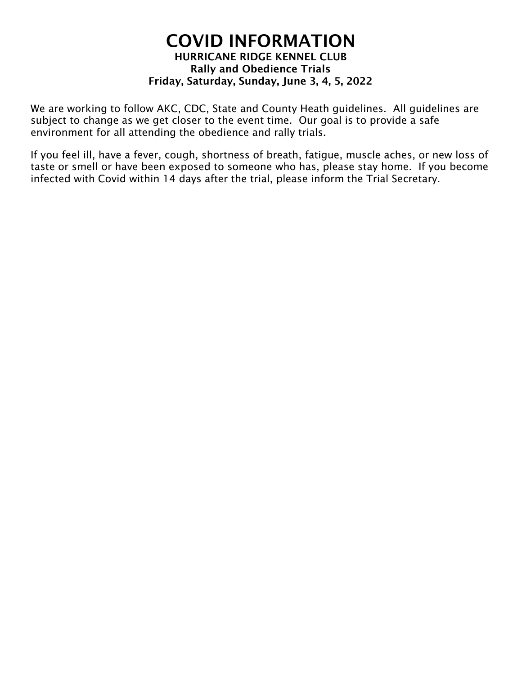# COVID INFORMATION HURRICANE RIDGE KENNEL CLUB Rally and Obedience Trials Friday, Saturday, Sunday, June 3, 4, 5, 2022

We are working to follow AKC, CDC, State and County Heath guidelines. All guidelines are subject to change as we get closer to the event time. Our goal is to provide a safe environment for all attending the obedience and rally trials.

If you feel ill, have a fever, cough, shortness of breath, fatigue, muscle aches, or new loss of taste or smell or have been exposed to someone who has, please stay home. If you become infected with Covid within 14 days after the trial, please inform the Trial Secretary.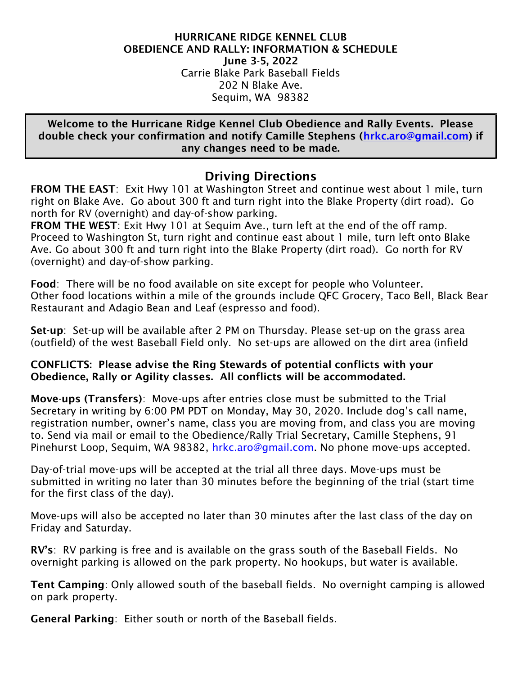#### HURRICANE RIDGE KENNEL CLUB OBEDIENCE AND RALLY: INFORMATION & SCHEDULE June 3-5, 2022 Carrie Blake Park Baseball Fields 202 N Blake Ave. Sequim, WA 98382

Welcome to the Hurricane Ridge Kennel Club Obedience and Rally Events. Please double check your confirmation and notify Camille Stephens (hrkc.aro@gmail.com) if any changes need to be made.

# Driving Directions

FROM THE EAST: Exit Hwy 101 at Washington Street and continue west about 1 mile, turn right on Blake Ave. Go about 300 ft and turn right into the Blake Property (dirt road). Go north for RV (overnight) and day-of-show parking.

FROM THE WEST: Exit Hwy 101 at Sequim Ave., turn left at the end of the off ramp. Proceed to Washington St, turn right and continue east about 1 mile, turn left onto Blake Ave. Go about 300 ft and turn right into the Blake Property (dirt road). Go north for RV (overnight) and day-of-show parking.

Food: There will be no food available on site except for people who Volunteer. Other food locations within a mile of the grounds include QFC Grocery, Taco Bell, Black Bear Restaurant and Adagio Bean and Leaf (espresso and food).

Set-up: Set-up will be available after 2 PM on Thursday. Please set-up on the grass area (outfield) of the west Baseball Field only. No set-ups are allowed on the dirt area (infield

## CONFLICTS: Please advise the Ring Stewards of potential conflicts with your Obedience, Rally or Agility classes. All conflicts will be accommodated.

Move-ups (Transfers): Move-ups after entries close must be submitted to the Trial Secretary in writing by 6:00 PM PDT on Monday, May 30, 2020. Include dog's call name, registration number, owner's name, class you are moving from, and class you are moving to. Send via mail or email to the Obedience/Rally Trial Secretary, Camille Stephens, 91 Pinehurst Loop, Sequim, WA 98382, hrkc.aro@gmail.com. No phone move-ups accepted.

Day-of-trial move-ups will be accepted at the trial all three days. Move-ups must be submitted in writing no later than 30 minutes before the beginning of the trial (start time for the first class of the day).

Move-ups will also be accepted no later than 30 minutes after the last class of the day on Friday and Saturday.

RV's: RV parking is free and is available on the grass south of the Baseball Fields. No overnight parking is allowed on the park property. No hookups, but water is available.

Tent Camping: Only allowed south of the baseball fields. No overnight camping is allowed on park property.

General Parking: Either south or north of the Baseball fields.